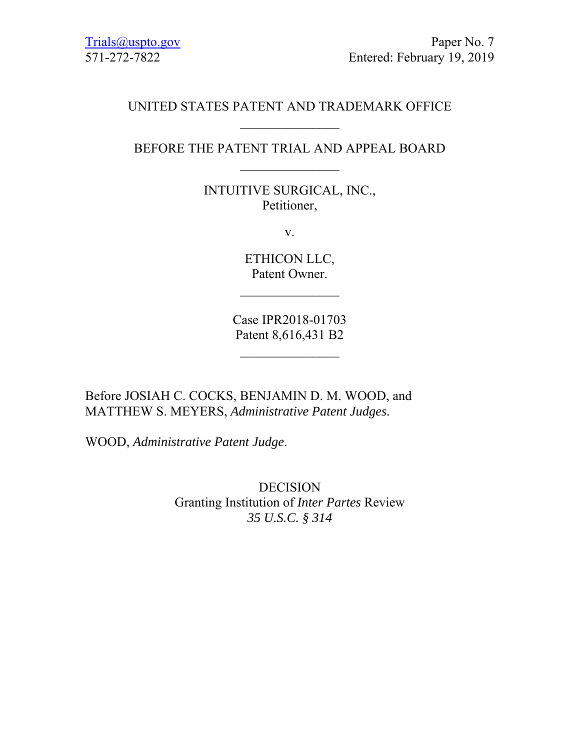## UNITED STATES PATENT AND TRADEMARK OFFICE

# BEFORE THE PATENT TRIAL AND APPEAL BOARD

INTUITIVE SURGICAL, INC., Petitioner,

v.

ETHICON LLC, Patent Owner.

 $\mathcal{L}_\text{max}$ 

Case IPR2018-01703 Patent 8,616,431 B2

 $\frac{1}{2}$ 

Before JOSIAH C. COCKS, BENJAMIN D. M. WOOD, and MATTHEW S. MEYERS, *Administrative Patent Judges.* 

WOOD, *Administrative Patent Judge*.

DECISION Granting Institution of *Inter Partes* Review *35 U.S.C. § 314*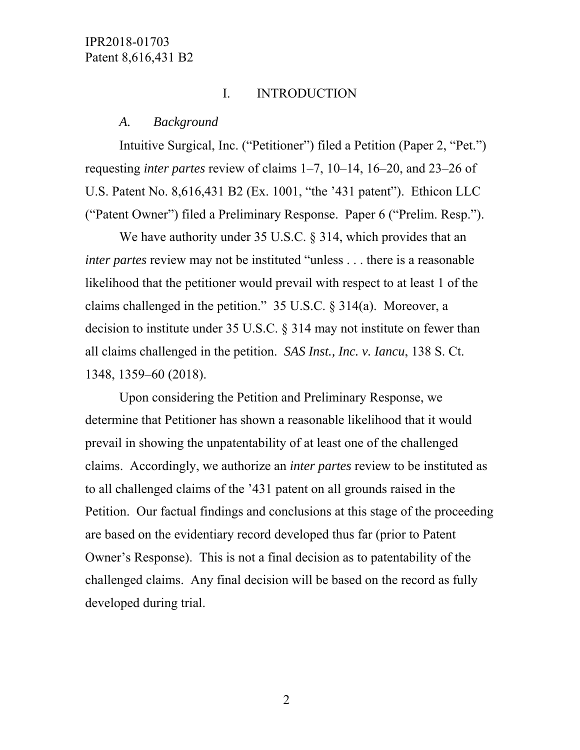## I. INTRODUCTION

#### *A. Background*

Intuitive Surgical, Inc. ("Petitioner") filed a Petition (Paper 2, "Pet.") requesting *inter partes* review of claims 1–7, 10–14, 16–20, and 23–26 of U.S. Patent No. 8,616,431 B2 (Ex. 1001, "the '431 patent"). Ethicon LLC ("Patent Owner") filed a Preliminary Response. Paper 6 ("Prelim. Resp.").

We have authority under 35 U.S.C. § 314, which provides that an *inter partes* review may not be instituted "unless . . . there is a reasonable likelihood that the petitioner would prevail with respect to at least 1 of the claims challenged in the petition." 35 U.S.C. § 314(a). Moreover, a decision to institute under 35 U.S.C. § 314 may not institute on fewer than all claims challenged in the petition. *SAS Inst., Inc. v. Iancu*, 138 S. Ct. 1348, 1359–60 (2018).

Upon considering the Petition and Preliminary Response, we determine that Petitioner has shown a reasonable likelihood that it would prevail in showing the unpatentability of at least one of the challenged claims. Accordingly, we authorize an *inter partes* review to be instituted as to all challenged claims of the '431 patent on all grounds raised in the Petition. Our factual findings and conclusions at this stage of the proceeding are based on the evidentiary record developed thus far (prior to Patent Owner's Response). This is not a final decision as to patentability of the challenged claims. Any final decision will be based on the record as fully developed during trial.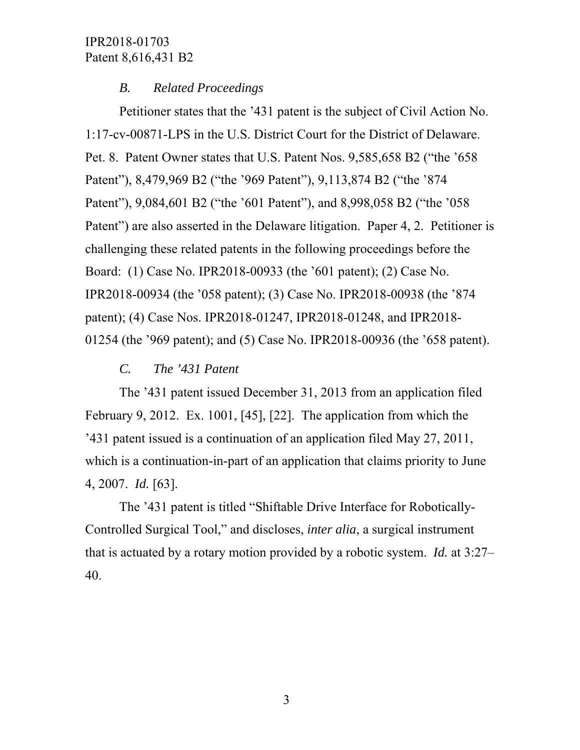#### *B. Related Proceedings*

Petitioner states that the '431 patent is the subject of Civil Action No. 1:17-cv-00871-LPS in the U.S. District Court for the District of Delaware. Pet. 8. Patent Owner states that U.S. Patent Nos. 9,585,658 B2 ("the '658 Patent"), 8,479,969 B2 ("the '969 Patent"), 9,113,874 B2 ("the '874 Patent"), 9,084,601 B2 ("the '601 Patent"), and 8,998,058 B2 ("the '058 Patent") are also asserted in the Delaware litigation. Paper 4, 2. Petitioner is challenging these related patents in the following proceedings before the Board: (1) Case No. IPR2018-00933 (the '601 patent); (2) Case No. IPR2018-00934 (the '058 patent); (3) Case No. IPR2018-00938 (the '874 patent); (4) Case Nos. IPR2018-01247, IPR2018-01248, and IPR2018- 01254 (the '969 patent); and (5) Case No. IPR2018-00936 (the '658 patent).

*C. The '431 Patent* 

The '431 patent issued December 31, 2013 from an application filed February 9, 2012. Ex. 1001, [45], [22]. The application from which the '431 patent issued is a continuation of an application filed May 27, 2011, which is a continuation-in-part of an application that claims priority to June 4, 2007. *Id.* [63].

The '431 patent is titled "Shiftable Drive Interface for Robotically-Controlled Surgical Tool," and discloses, *inter alia*, a surgical instrument that is actuated by a rotary motion provided by a robotic system. *Id.* at 3:27– 40.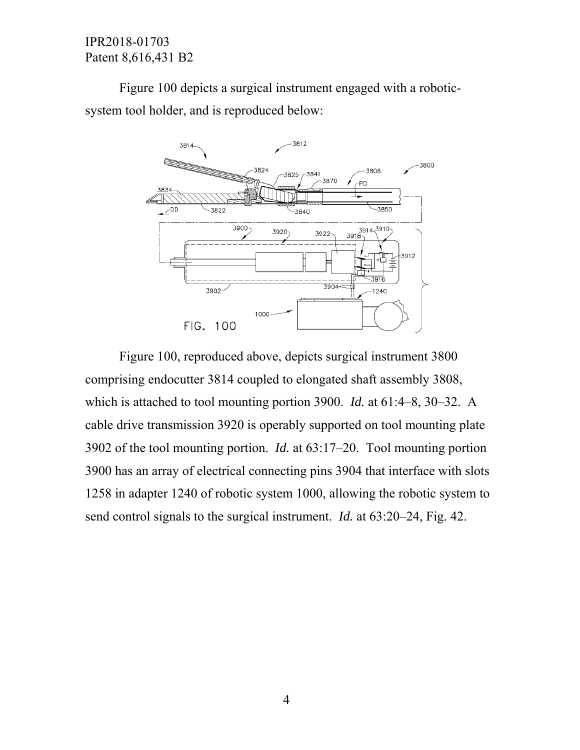Figure 100 depicts a surgical instrument engaged with a roboticsystem tool holder, and is reproduced below:



Figure 100, reproduced above, depicts surgical instrument 3800 comprising endocutter 3814 coupled to elongated shaft assembly 3808, which is attached to tool mounting portion 3900. *Id.* at 61:4–8, 30–32. A cable drive transmission 3920 is operably supported on tool mounting plate 3902 of the tool mounting portion. *Id.* at 63:17–20. Tool mounting portion 3900 has an array of electrical connecting pins 3904 that interface with slots 1258 in adapter 1240 of robotic system 1000, allowing the robotic system to send control signals to the surgical instrument. *Id.* at 63:20–24, Fig. 42.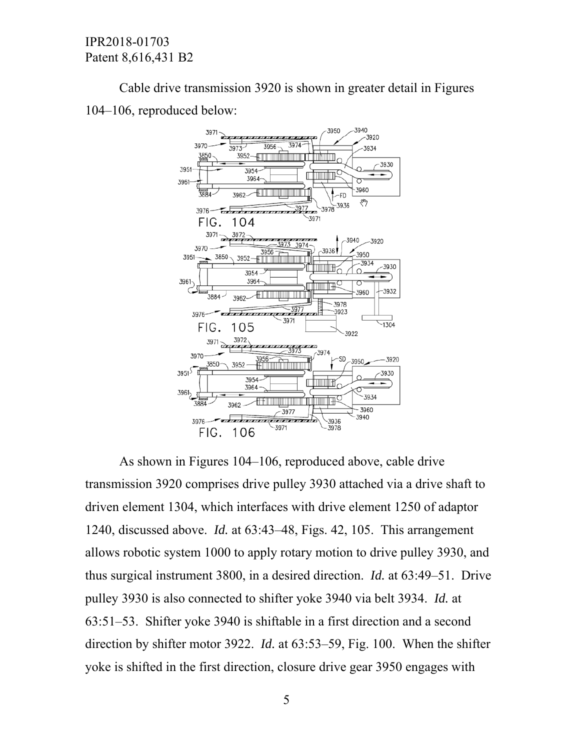Cable drive transmission 3920 is shown in greater detail in Figures 104–106, reproduced below:



As shown in Figures 104–106, reproduced above, cable drive transmission 3920 comprises drive pulley 3930 attached via a drive shaft to driven element 1304, which interfaces with drive element 1250 of adaptor 1240, discussed above. *Id.* at 63:43–48, Figs. 42, 105. This arrangement allows robotic system 1000 to apply rotary motion to drive pulley 3930, and thus surgical instrument 3800, in a desired direction. *Id.* at 63:49–51. Drive pulley 3930 is also connected to shifter yoke 3940 via belt 3934. *Id.* at 63:51–53. Shifter yoke 3940 is shiftable in a first direction and a second direction by shifter motor 3922. *Id.* at 63:53–59, Fig. 100. When the shifter yoke is shifted in the first direction, closure drive gear 3950 engages with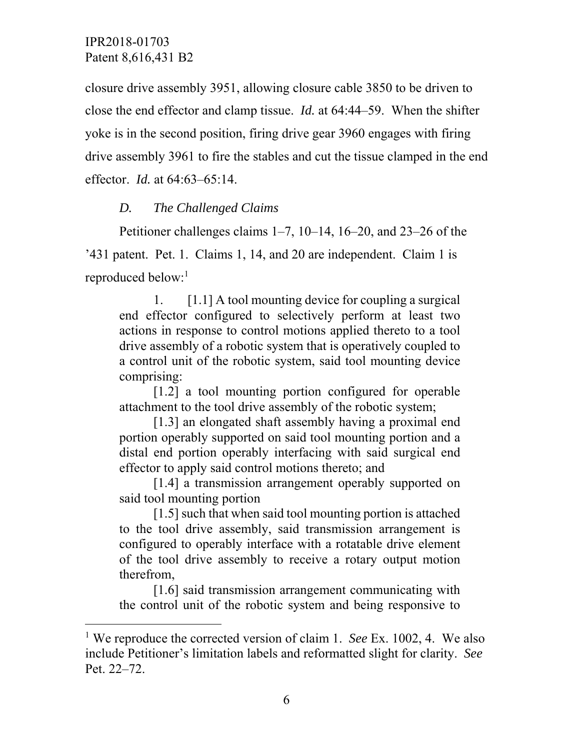-

closure drive assembly 3951, allowing closure cable 3850 to be driven to close the end effector and clamp tissue. *Id.* at 64:44–59. When the shifter yoke is in the second position, firing drive gear 3960 engages with firing drive assembly 3961 to fire the stables and cut the tissue clamped in the end effector. *Id.* at 64:63–65:14.

## *D. The Challenged Claims*

Petitioner challenges claims 1–7, 10–14, 16–20, and 23–26 of the '431 patent. Pet. 1. Claims 1, 14, and 20 are independent. Claim 1 is reproduced below:<sup>1</sup>

1. [1.1] A tool mounting device for coupling a surgical end effector configured to selectively perform at least two actions in response to control motions applied thereto to a tool drive assembly of a robotic system that is operatively coupled to a control unit of the robotic system, said tool mounting device comprising:

[1.2] a tool mounting portion configured for operable attachment to the tool drive assembly of the robotic system;

[1.3] an elongated shaft assembly having a proximal end portion operably supported on said tool mounting portion and a distal end portion operably interfacing with said surgical end effector to apply said control motions thereto; and

[1.4] a transmission arrangement operably supported on said tool mounting portion

[1.5] such that when said tool mounting portion is attached to the tool drive assembly, said transmission arrangement is configured to operably interface with a rotatable drive element of the tool drive assembly to receive a rotary output motion therefrom,

[1.6] said transmission arrangement communicating with the control unit of the robotic system and being responsive to

<sup>&</sup>lt;sup>1</sup> We reproduce the corrected version of claim 1. *See* Ex. 1002, 4. We also include Petitioner's limitation labels and reformatted slight for clarity. *See* Pet. 22–72.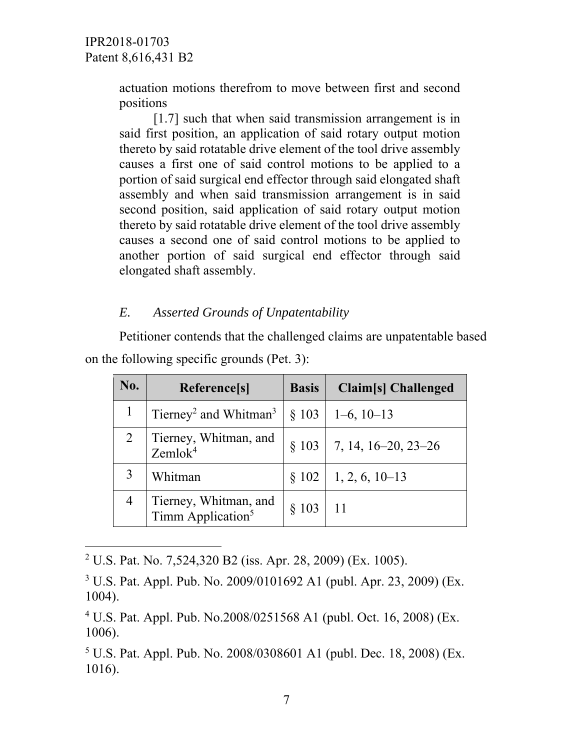$\overline{a}$ 

actuation motions therefrom to move between first and second positions

[1.7] such that when said transmission arrangement is in said first position, an application of said rotary output motion thereto by said rotatable drive element of the tool drive assembly causes a first one of said control motions to be applied to a portion of said surgical end effector through said elongated shaft assembly and when said transmission arrangement is in said second position, said application of said rotary output motion thereto by said rotatable drive element of the tool drive assembly causes a second one of said control motions to be applied to another portion of said surgical end effector through said elongated shaft assembly.

#### *E. Asserted Grounds of Unpatentability*

Petitioner contends that the challenged claims are unpatentable based on the following specific grounds (Pet. 3):

| No. | Reference[s]                                           | <b>Basis</b> | Claim[s] Challenged   |
|-----|--------------------------------------------------------|--------------|-----------------------|
|     | Tierney <sup>2</sup> and Whitman <sup>3</sup>          |              | $\S$ 103   1–6, 10–13 |
|     | Tierney, Whitman, and<br>Zemlok <sup>4</sup>           | § 103        | 7, 14, 16–20, 23–26   |
|     | Whitman                                                | $\S 102$     | $1, 2, 6, 10-13$      |
|     | Tierney, Whitman, and<br>Timm Application <sup>5</sup> | $\&$ 103     | 11                    |

2 U.S. Pat. No. 7,524,320 B2 (iss. Apr. 28, 2009) (Ex. 1005).

3 U.S. Pat. Appl. Pub. No. 2009/0101692 A1 (publ. Apr. 23, 2009) (Ex. 1004).

4 U.S. Pat. Appl. Pub. No.2008/0251568 A1 (publ. Oct. 16, 2008) (Ex. 1006).

5 U.S. Pat. Appl. Pub. No. 2008/0308601 A1 (publ. Dec. 18, 2008) (Ex. 1016).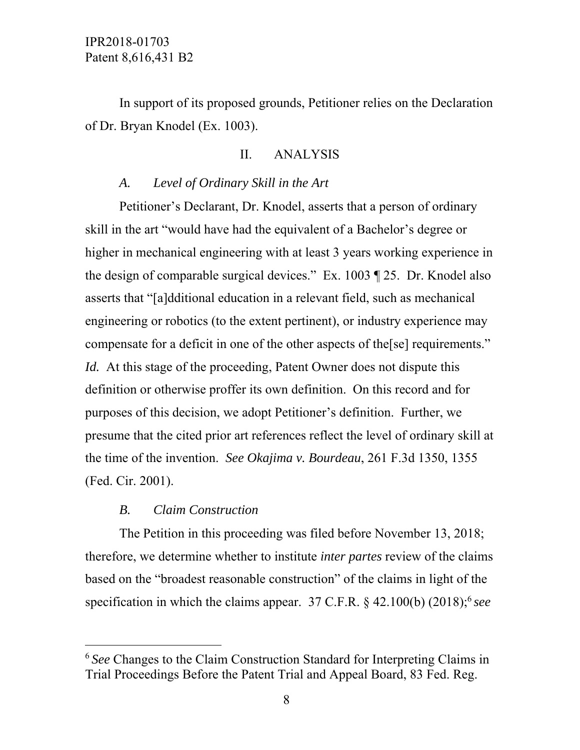# In support of its proposed grounds, Petitioner relies on the Declaration of Dr. Bryan Knodel (Ex. 1003).

## II. ANALYSIS

## *A. Level of Ordinary Skill in the Art*

Petitioner's Declarant, Dr. Knodel, asserts that a person of ordinary skill in the art "would have had the equivalent of a Bachelor's degree or higher in mechanical engineering with at least 3 years working experience in the design of comparable surgical devices." Ex. 1003 ¶ 25. Dr. Knodel also asserts that "[a]dditional education in a relevant field, such as mechanical engineering or robotics (to the extent pertinent), or industry experience may compensate for a deficit in one of the other aspects of the[se] requirements." *Id.* At this stage of the proceeding, Patent Owner does not dispute this definition or otherwise proffer its own definition. On this record and for purposes of this decision, we adopt Petitioner's definition. Further, we presume that the cited prior art references reflect the level of ordinary skill at the time of the invention. *See Okajima v. Bourdeau*, 261 F.3d 1350, 1355 (Fed. Cir. 2001).

#### *B. Claim Construction*

 $\overline{a}$ 

The Petition in this proceeding was filed before November 13, 2018; therefore, we determine whether to institute *inter partes* review of the claims based on the "broadest reasonable construction" of the claims in light of the specification in which the claims appear.  $37$  C.F.R.  $\S$  42.100(b) (2018);<sup>6</sup> see

<sup>6</sup>*See* Changes to the Claim Construction Standard for Interpreting Claims in Trial Proceedings Before the Patent Trial and Appeal Board, 83 Fed. Reg.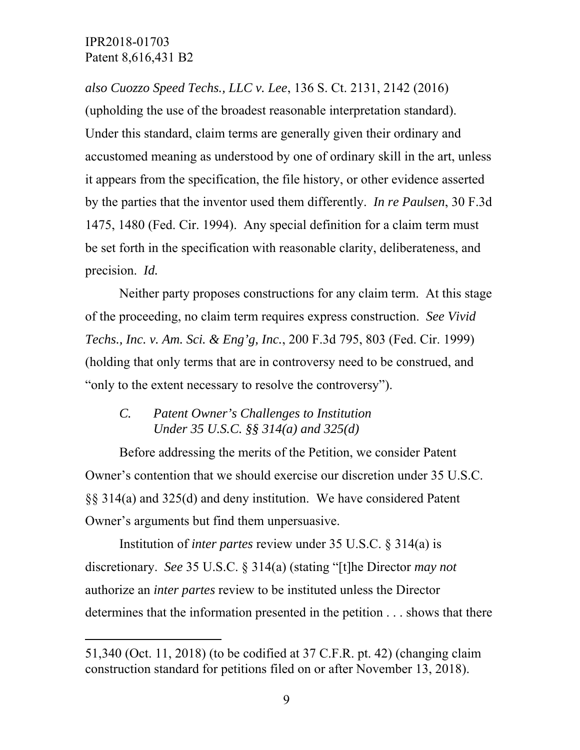$\overline{a}$ 

*also Cuozzo Speed Techs., LLC v. Lee*, 136 S. Ct. 2131, 2142 (2016) (upholding the use of the broadest reasonable interpretation standard). Under this standard, claim terms are generally given their ordinary and accustomed meaning as understood by one of ordinary skill in the art, unless it appears from the specification, the file history, or other evidence asserted by the parties that the inventor used them differently. *In re Paulsen*, 30 F.3d 1475, 1480 (Fed. Cir. 1994). Any special definition for a claim term must be set forth in the specification with reasonable clarity, deliberateness, and precision. *Id.*

Neither party proposes constructions for any claim term. At this stage of the proceeding, no claim term requires express construction. *See Vivid Techs., Inc. v. Am. Sci. & Eng'g, Inc.*, 200 F.3d 795, 803 (Fed. Cir. 1999) (holding that only terms that are in controversy need to be construed, and "only to the extent necessary to resolve the controversy").

# *C. Patent Owner's Challenges to Institution Under 35 U.S.C. §§ 314(a) and 325(d)*

Before addressing the merits of the Petition, we consider Patent Owner's contention that we should exercise our discretion under 35 U.S.C. §§ 314(a) and 325(d) and deny institution. We have considered Patent Owner's arguments but find them unpersuasive.

Institution of *inter partes* review under 35 U.S.C. § 314(a) is discretionary. *See* 35 U.S.C. § 314(a) (stating "[t]he Director *may not* authorize an *inter partes* review to be instituted unless the Director determines that the information presented in the petition . . . shows that there

<sup>51,340 (</sup>Oct. 11, 2018) (to be codified at 37 C.F.R. pt. 42) (changing claim construction standard for petitions filed on or after November 13, 2018).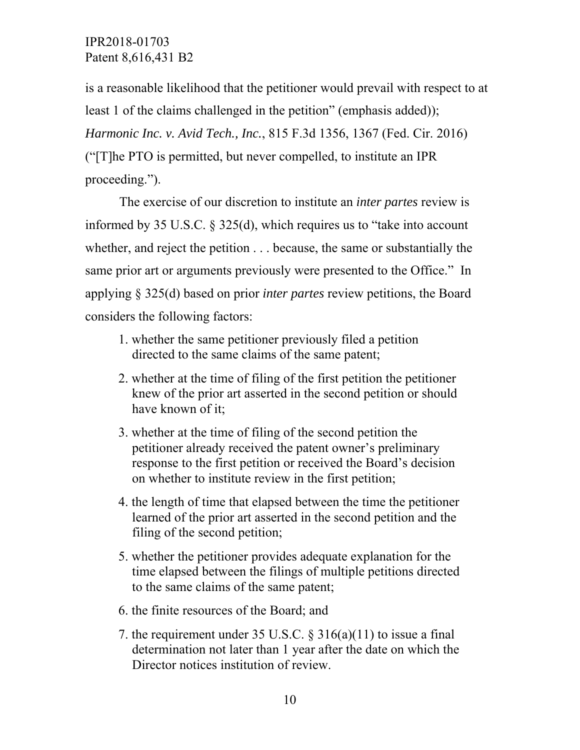is a reasonable likelihood that the petitioner would prevail with respect to at least 1 of the claims challenged in the petition" (emphasis added)); *Harmonic Inc. v. Avid Tech., Inc.*, 815 F.3d 1356, 1367 (Fed. Cir. 2016) ("[T]he PTO is permitted, but never compelled, to institute an IPR proceeding.").

The exercise of our discretion to institute an *inter partes* review is informed by 35 U.S.C. § 325(d), which requires us to "take into account whether, and reject the petition . . . because, the same or substantially the same prior art or arguments previously were presented to the Office." In applying § 325(d) based on prior *inter partes* review petitions, the Board considers the following factors:

- 1. whether the same petitioner previously filed a petition directed to the same claims of the same patent;
- 2. whether at the time of filing of the first petition the petitioner knew of the prior art asserted in the second petition or should have known of it;
- 3. whether at the time of filing of the second petition the petitioner already received the patent owner's preliminary response to the first petition or received the Board's decision on whether to institute review in the first petition;
- 4. the length of time that elapsed between the time the petitioner learned of the prior art asserted in the second petition and the filing of the second petition;
- 5. whether the petitioner provides adequate explanation for the time elapsed between the filings of multiple petitions directed to the same claims of the same patent;
- 6. the finite resources of the Board; and
- 7. the requirement under 35 U.S.C.  $\S 316(a)(11)$  to issue a final determination not later than 1 year after the date on which the Director notices institution of review.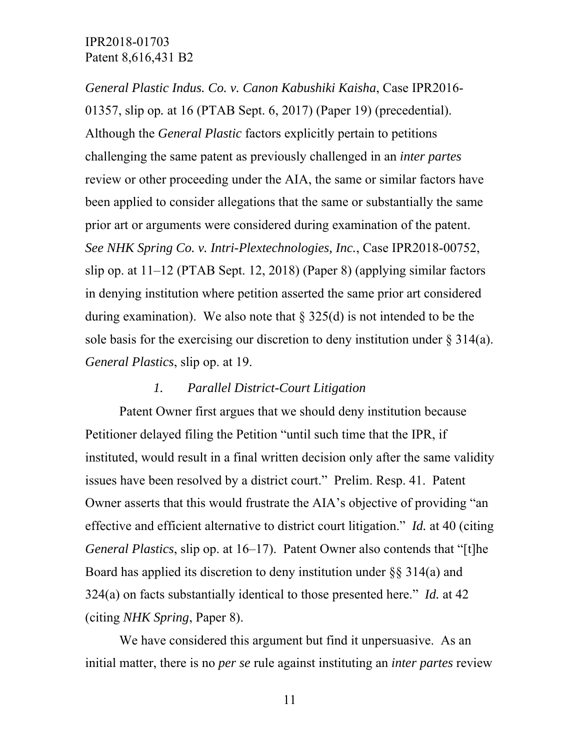*General Plastic Indus. Co. v. Canon Kabushiki Kaisha*, Case IPR2016- 01357, slip op*.* at 16 (PTAB Sept. 6, 2017) (Paper 19) (precedential). Although the *General Plastic* factors explicitly pertain to petitions challenging the same patent as previously challenged in an *inter partes* review or other proceeding under the AIA, the same or similar factors have been applied to consider allegations that the same or substantially the same prior art or arguments were considered during examination of the patent. *See NHK Spring Co. v. Intri-Plextechnologies, Inc.*, Case IPR2018-00752, slip op. at 11–12 (PTAB Sept. 12, 2018) (Paper 8) (applying similar factors in denying institution where petition asserted the same prior art considered during examination). We also note that  $\S 325(d)$  is not intended to be the sole basis for the exercising our discretion to deny institution under  $\S 314(a)$ . *General Plastics*, slip op. at 19.

## *1. Parallel District-Court Litigation*

Patent Owner first argues that we should deny institution because Petitioner delayed filing the Petition "until such time that the IPR, if instituted, would result in a final written decision only after the same validity issues have been resolved by a district court." Prelim. Resp. 41. Patent Owner asserts that this would frustrate the AIA's objective of providing "an effective and efficient alternative to district court litigation." *Id.* at 40 (citing *General Plastics*, slip op. at 16–17). Patent Owner also contends that "[t]he Board has applied its discretion to deny institution under  $\S$ § 314(a) and 324(a) on facts substantially identical to those presented here." *Id.* at 42 (citing *NHK Spring*, Paper 8).

We have considered this argument but find it unpersuasive. As an initial matter, there is no *per se* rule against instituting an *inter partes* review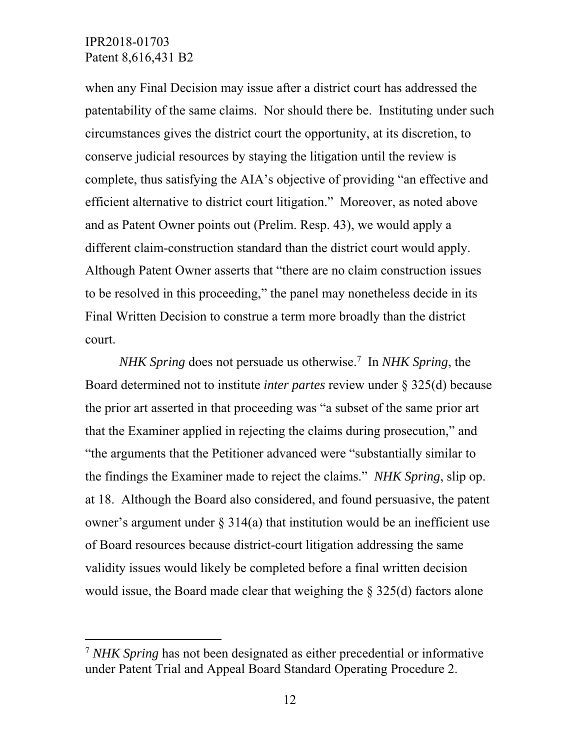-

when any Final Decision may issue after a district court has addressed the patentability of the same claims. Nor should there be. Instituting under such circumstances gives the district court the opportunity, at its discretion, to conserve judicial resources by staying the litigation until the review is complete, thus satisfying the AIA's objective of providing "an effective and efficient alternative to district court litigation." Moreover, as noted above and as Patent Owner points out (Prelim. Resp. 43), we would apply a different claim-construction standard than the district court would apply. Although Patent Owner asserts that "there are no claim construction issues to be resolved in this proceeding," the panel may nonetheless decide in its Final Written Decision to construe a term more broadly than the district court.

*NHK Spring* does not persuade us otherwise.7 In *NHK Spring*, the Board determined not to institute *inter partes* review under § 325(d) because the prior art asserted in that proceeding was "a subset of the same prior art that the Examiner applied in rejecting the claims during prosecution," and "the arguments that the Petitioner advanced were "substantially similar to the findings the Examiner made to reject the claims." *NHK Spring*, slip op. at 18. Although the Board also considered, and found persuasive, the patent owner's argument under  $\S 314(a)$  that institution would be an inefficient use of Board resources because district-court litigation addressing the same validity issues would likely be completed before a final written decision would issue, the Board made clear that weighing the § 325(d) factors alone

<sup>7</sup> *NHK Spring* has not been designated as either precedential or informative under Patent Trial and Appeal Board Standard Operating Procedure 2.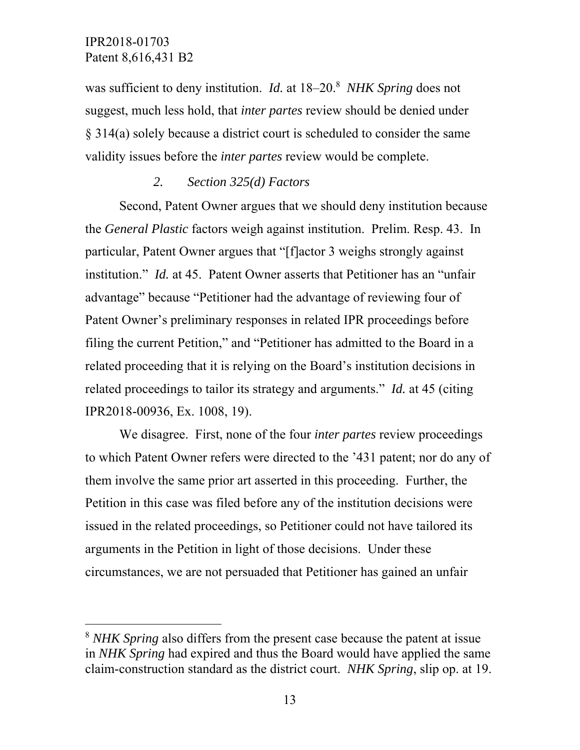-

was sufficient to deny institution. *Id.* at 18–20.<sup>8</sup> NHK Spring does not suggest, much less hold, that *inter partes* review should be denied under § 314(a) solely because a district court is scheduled to consider the same validity issues before the *inter partes* review would be complete.

#### *2. Section 325(d) Factors*

Second, Patent Owner argues that we should deny institution because the *General Plastic* factors weigh against institution. Prelim. Resp. 43. In particular, Patent Owner argues that "[f]actor 3 weighs strongly against institution." *Id.* at 45. Patent Owner asserts that Petitioner has an "unfair advantage" because "Petitioner had the advantage of reviewing four of Patent Owner's preliminary responses in related IPR proceedings before filing the current Petition," and "Petitioner has admitted to the Board in a related proceeding that it is relying on the Board's institution decisions in related proceedings to tailor its strategy and arguments." *Id.* at 45 (citing IPR2018-00936, Ex. 1008, 19).

We disagree. First, none of the four *inter partes* review proceedings to which Patent Owner refers were directed to the '431 patent; nor do any of them involve the same prior art asserted in this proceeding. Further, the Petition in this case was filed before any of the institution decisions were issued in the related proceedings, so Petitioner could not have tailored its arguments in the Petition in light of those decisions. Under these circumstances, we are not persuaded that Petitioner has gained an unfair

<sup>8</sup> *NHK Spring* also differs from the present case because the patent at issue in *NHK Spring* had expired and thus the Board would have applied the same claim-construction standard as the district court. *NHK Spring*, slip op. at 19.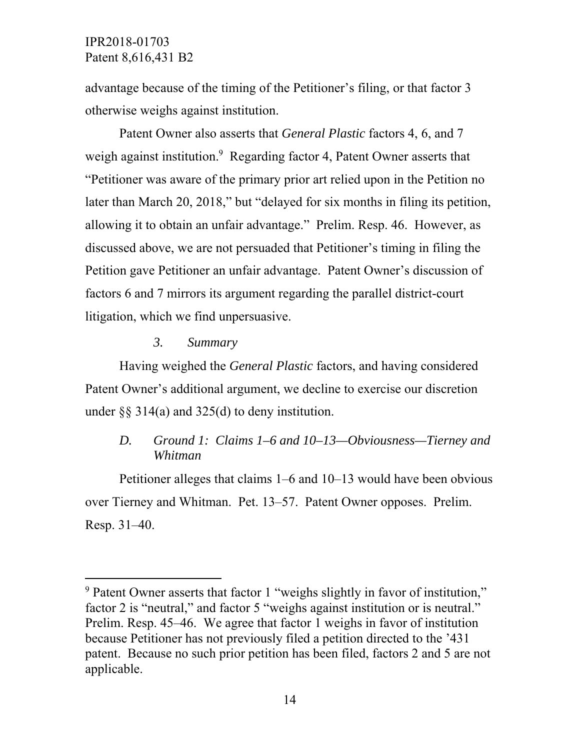advantage because of the timing of the Petitioner's filing, or that factor 3 otherwise weighs against institution.

Patent Owner also asserts that *General Plastic* factors 4, 6, and 7 weigh against institution.<sup>9</sup> Regarding factor 4, Patent Owner asserts that "Petitioner was aware of the primary prior art relied upon in the Petition no later than March 20, 2018," but "delayed for six months in filing its petition, allowing it to obtain an unfair advantage." Prelim. Resp. 46. However, as discussed above, we are not persuaded that Petitioner's timing in filing the Petition gave Petitioner an unfair advantage. Patent Owner's discussion of factors 6 and 7 mirrors its argument regarding the parallel district-court litigation, which we find unpersuasive.

#### *3. Summary*

l

Having weighed the *General Plastic* factors, and having considered Patent Owner's additional argument, we decline to exercise our discretion under  $\S$ § 314(a) and 325(d) to deny institution.

## *D. Ground 1: Claims 1–6 and 10–13—Obviousness—Tierney and Whitman*

Petitioner alleges that claims 1–6 and 10–13 would have been obvious over Tierney and Whitman. Pet. 13–57. Patent Owner opposes. Prelim. Resp. 31–40.

<sup>&</sup>lt;sup>9</sup> Patent Owner asserts that factor 1 "weighs slightly in favor of institution," factor 2 is "neutral," and factor 5 "weighs against institution or is neutral." Prelim. Resp. 45–46. We agree that factor 1 weighs in favor of institution because Petitioner has not previously filed a petition directed to the '431 patent. Because no such prior petition has been filed, factors 2 and 5 are not applicable.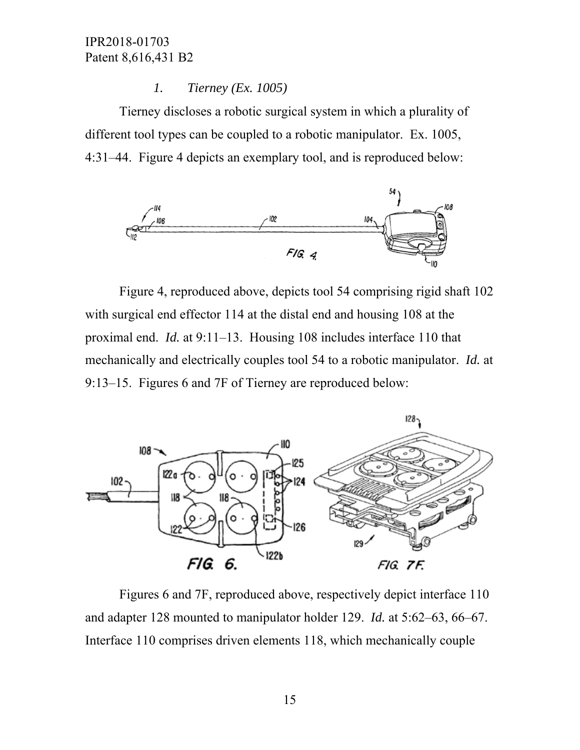#### *1. Tierney (Ex. 1005)*

Tierney discloses a robotic surgical system in which a plurality of different tool types can be coupled to a robotic manipulator. Ex. 1005, 4:31–44. Figure 4 depicts an exemplary tool, and is reproduced below:



Figure 4, reproduced above, depicts tool 54 comprising rigid shaft 102 with surgical end effector 114 at the distal end and housing 108 at the proximal end. *Id.* at 9:11–13. Housing 108 includes interface 110 that mechanically and electrically couples tool 54 to a robotic manipulator. *Id.* at 9:13–15. Figures 6 and 7F of Tierney are reproduced below:



Figures 6 and 7F, reproduced above, respectively depict interface 110 and adapter 128 mounted to manipulator holder 129. *Id.* at 5:62–63, 66–67. Interface 110 comprises driven elements 118, which mechanically couple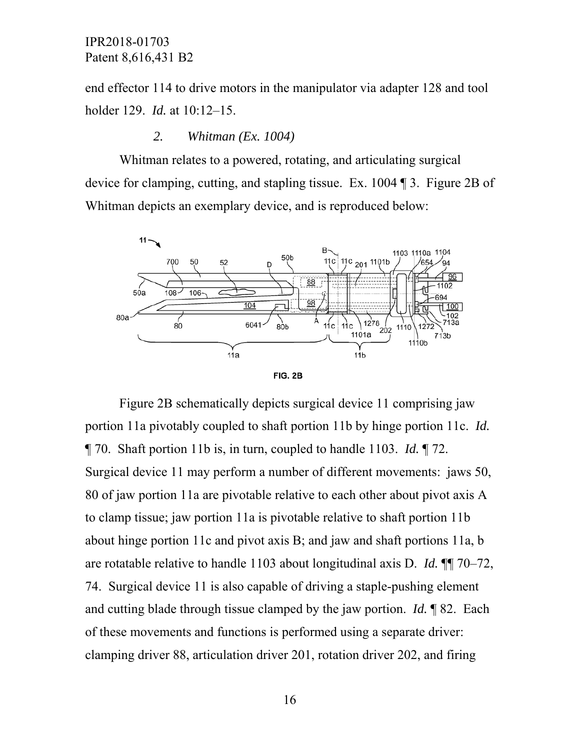end effector 114 to drive motors in the manipulator via adapter 128 and tool holder 129. *Id.* at 10:12–15.

#### *2. Whitman (Ex. 1004)*

Whitman relates to a powered, rotating, and articulating surgical device for clamping, cutting, and stapling tissue. Ex. 1004 ¶ 3. Figure 2B of Whitman depicts an exemplary device, and is reproduced below:





Figure 2B schematically depicts surgical device 11 comprising jaw portion 11a pivotably coupled to shaft portion 11b by hinge portion 11c. *Id.* ¶ 70. Shaft portion 11b is, in turn, coupled to handle 1103. *Id.* ¶ 72. Surgical device 11 may perform a number of different movements: jaws 50, 80 of jaw portion 11a are pivotable relative to each other about pivot axis A to clamp tissue; jaw portion 11a is pivotable relative to shaft portion 11b about hinge portion 11c and pivot axis B; and jaw and shaft portions 11a, b are rotatable relative to handle 1103 about longitudinal axis D. *Id.* ¶¶ 70–72, 74. Surgical device 11 is also capable of driving a staple-pushing element and cutting blade through tissue clamped by the jaw portion. *Id.* ¶ 82. Each of these movements and functions is performed using a separate driver: clamping driver 88, articulation driver 201, rotation driver 202, and firing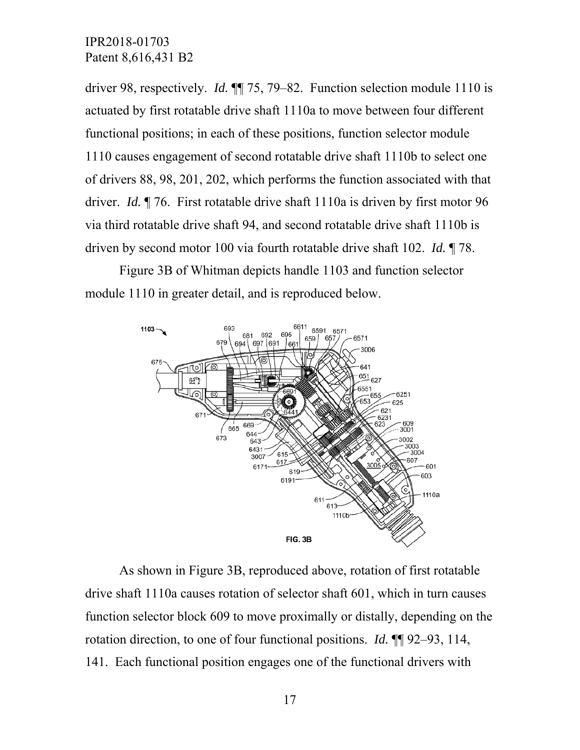driver 98, respectively. *Id.* ¶¶ 75, 79–82. Function selection module 1110 is actuated by first rotatable drive shaft 1110a to move between four different functional positions; in each of these positions, function selector module 1110 causes engagement of second rotatable drive shaft 1110b to select one of drivers 88, 98, 201, 202, which performs the function associated with that driver. *Id.* ¶ 76. First rotatable drive shaft 1110a is driven by first motor 96 via third rotatable drive shaft 94, and second rotatable drive shaft 1110b is driven by second motor 100 via fourth rotatable drive shaft 102. *Id.* ¶ 78.

Figure 3B of Whitman depicts handle 1103 and function selector module 1110 in greater detail, and is reproduced below.



As shown in Figure 3B, reproduced above, rotation of first rotatable drive shaft 1110a causes rotation of selector shaft 601, which in turn causes function selector block 609 to move proximally or distally, depending on the rotation direction, to one of four functional positions. *Id.* ¶¶ 92–93, 114, 141. Each functional position engages one of the functional drivers with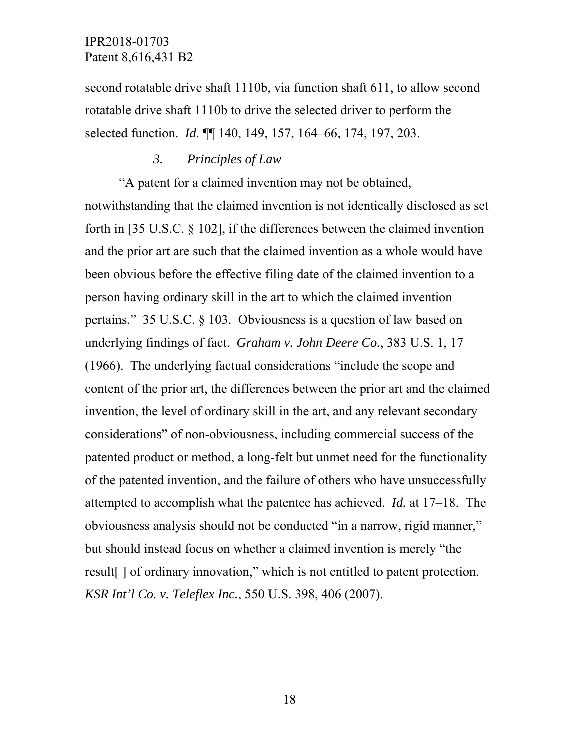second rotatable drive shaft 1110b, via function shaft 611, to allow second rotatable drive shaft 1110b to drive the selected driver to perform the selected function. *Id.* ¶¶ 140, 149, 157, 164–66, 174, 197, 203.

#### *3. Principles of Law*

"A patent for a claimed invention may not be obtained,

notwithstanding that the claimed invention is not identically disclosed as set forth in [35 U.S.C. § 102], if the differences between the claimed invention and the prior art are such that the claimed invention as a whole would have been obvious before the effective filing date of the claimed invention to a person having ordinary skill in the art to which the claimed invention pertains." 35 U.S.C. § 103. Obviousness is a question of law based on underlying findings of fact. *Graham v. John Deere Co.*, 383 U.S. 1, 17 (1966). The underlying factual considerations "include the scope and content of the prior art, the differences between the prior art and the claimed invention, the level of ordinary skill in the art, and any relevant secondary considerations" of non-obviousness, including commercial success of the patented product or method, a long-felt but unmet need for the functionality of the patented invention, and the failure of others who have unsuccessfully attempted to accomplish what the patentee has achieved. *Id.* at 17–18. The obviousness analysis should not be conducted "in a narrow, rigid manner," but should instead focus on whether a claimed invention is merely "the result[ ] of ordinary innovation," which is not entitled to patent protection. *KSR Int'l Co. v. Teleflex Inc.*, 550 U.S. 398, 406 (2007).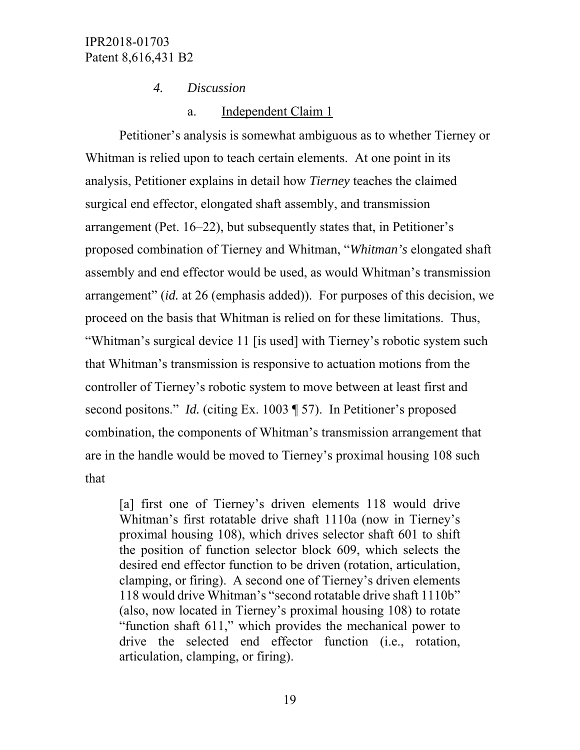*4. Discussion* 

## a. Independent Claim 1

Petitioner's analysis is somewhat ambiguous as to whether Tierney or Whitman is relied upon to teach certain elements. At one point in its analysis, Petitioner explains in detail how *Tierney* teaches the claimed surgical end effector, elongated shaft assembly, and transmission arrangement (Pet. 16–22), but subsequently states that, in Petitioner's proposed combination of Tierney and Whitman, "*Whitman's* elongated shaft assembly and end effector would be used, as would Whitman's transmission arrangement" (*id.* at 26 (emphasis added)). For purposes of this decision, we proceed on the basis that Whitman is relied on for these limitations. Thus, "Whitman's surgical device 11 [is used] with Tierney's robotic system such that Whitman's transmission is responsive to actuation motions from the controller of Tierney's robotic system to move between at least first and second positons." *Id.* (citing Ex. 1003 ¶ 57). In Petitioner's proposed combination, the components of Whitman's transmission arrangement that are in the handle would be moved to Tierney's proximal housing 108 such that

[a] first one of Tierney's driven elements 118 would drive Whitman's first rotatable drive shaft 1110a (now in Tierney's proximal housing 108), which drives selector shaft 601 to shift the position of function selector block 609, which selects the desired end effector function to be driven (rotation, articulation, clamping, or firing). A second one of Tierney's driven elements 118 would drive Whitman's "second rotatable drive shaft 1110b" (also, now located in Tierney's proximal housing 108) to rotate "function shaft 611," which provides the mechanical power to drive the selected end effector function (i.e., rotation, articulation, clamping, or firing).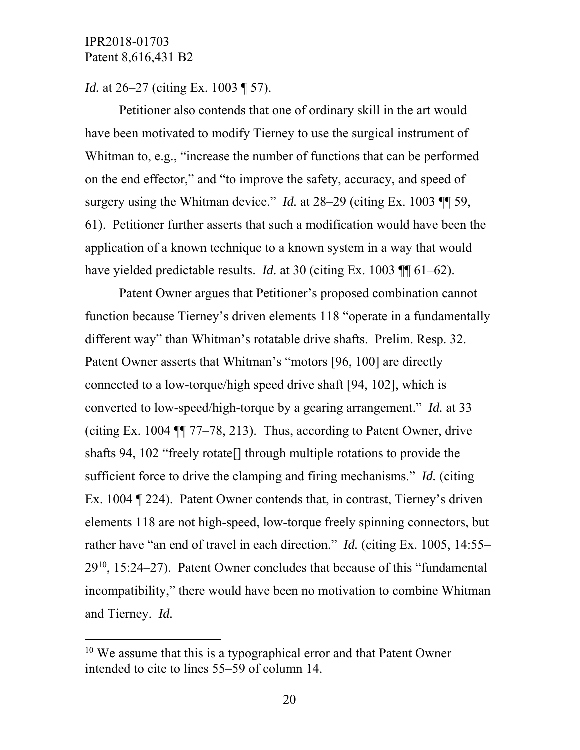-

*Id.* at 26–27 (citing Ex. 1003 ¶ 57).

Petitioner also contends that one of ordinary skill in the art would have been motivated to modify Tierney to use the surgical instrument of Whitman to, e.g., "increase the number of functions that can be performed on the end effector," and "to improve the safety, accuracy, and speed of surgery using the Whitman device." *Id.* at 28–29 (citing Ex. 1003 ¶¶ 59, 61). Petitioner further asserts that such a modification would have been the application of a known technique to a known system in a way that would have yielded predictable results. *Id.* at 30 (citing Ex. 1003 ¶ 61–62).

Patent Owner argues that Petitioner's proposed combination cannot function because Tierney's driven elements 118 "operate in a fundamentally different way" than Whitman's rotatable drive shafts. Prelim. Resp. 32. Patent Owner asserts that Whitman's "motors [96, 100] are directly connected to a low-torque/high speed drive shaft [94, 102], which is converted to low-speed/high-torque by a gearing arrangement." *Id.* at 33 (citing Ex. 1004 ¶¶ 77–78, 213). Thus, according to Patent Owner, drive shafts 94, 102 "freely rotate[] through multiple rotations to provide the sufficient force to drive the clamping and firing mechanisms." *Id.* (citing Ex. 1004 ¶ 224). Patent Owner contends that, in contrast, Tierney's driven elements 118 are not high-speed, low-torque freely spinning connectors, but rather have "an end of travel in each direction." *Id.* (citing Ex. 1005, 14:55–  $29^{10}$ , 15:24–27). Patent Owner concludes that because of this "fundamental incompatibility," there would have been no motivation to combine Whitman and Tierney. *Id.*

 $10$  We assume that this is a typographical error and that Patent Owner intended to cite to lines 55–59 of column 14.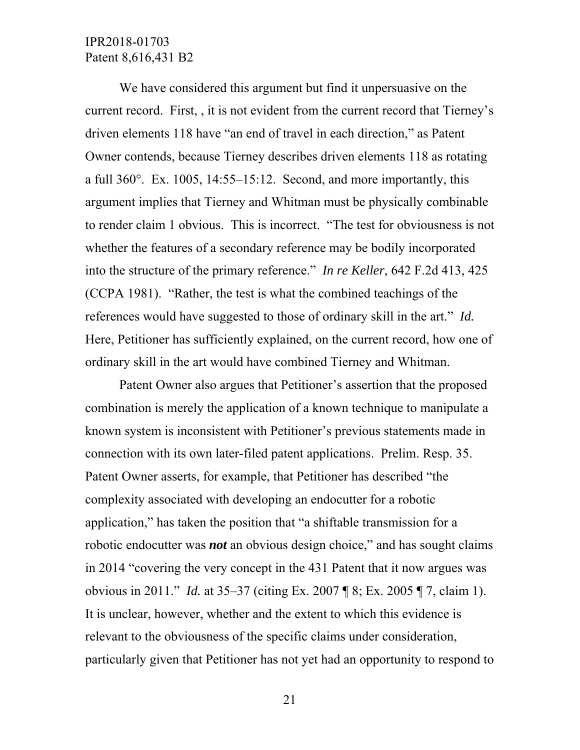We have considered this argument but find it unpersuasive on the current record. First, , it is not evident from the current record that Tierney's driven elements 118 have "an end of travel in each direction," as Patent Owner contends, because Tierney describes driven elements 118 as rotating a full  $360^\circ$ . Ex. 1005, 14:55–15:12. Second, and more importantly, this argument implies that Tierney and Whitman must be physically combinable to render claim 1 obvious. This is incorrect. "The test for obviousness is not whether the features of a secondary reference may be bodily incorporated into the structure of the primary reference." *In re Keller*, 642 F.2d 413, 425 (CCPA 1981). "Rather, the test is what the combined teachings of the references would have suggested to those of ordinary skill in the art." *Id.* Here, Petitioner has sufficiently explained, on the current record, how one of ordinary skill in the art would have combined Tierney and Whitman.

Patent Owner also argues that Petitioner's assertion that the proposed combination is merely the application of a known technique to manipulate a known system is inconsistent with Petitioner's previous statements made in connection with its own later-filed patent applications. Prelim. Resp. 35. Patent Owner asserts, for example, that Petitioner has described "the complexity associated with developing an endocutter for a robotic application," has taken the position that "a shiftable transmission for a robotic endocutter was *not* an obvious design choice," and has sought claims in 2014 "covering the very concept in the 431 Patent that it now argues was obvious in 2011." *Id.* at 35–37 (citing Ex. 2007 ¶ 8; Ex. 2005 ¶ 7, claim 1). It is unclear, however, whether and the extent to which this evidence is relevant to the obviousness of the specific claims under consideration, particularly given that Petitioner has not yet had an opportunity to respond to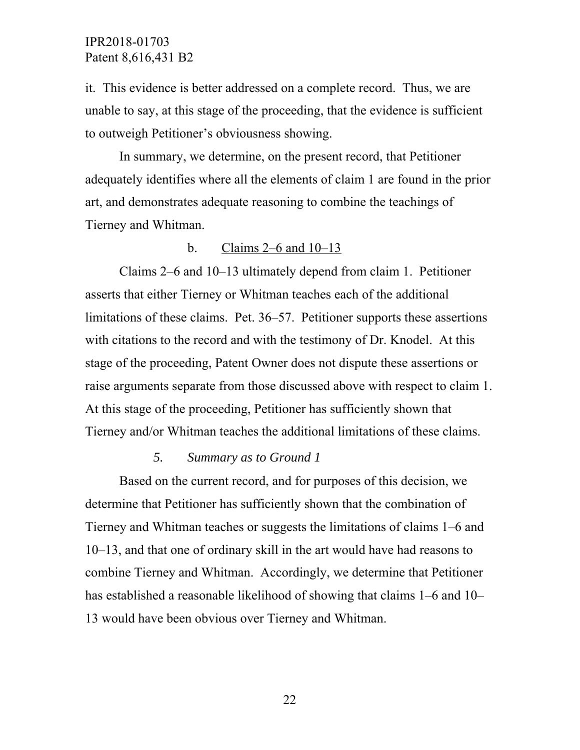it. This evidence is better addressed on a complete record. Thus, we are unable to say, at this stage of the proceeding, that the evidence is sufficient to outweigh Petitioner's obviousness showing.

In summary, we determine, on the present record, that Petitioner adequately identifies where all the elements of claim 1 are found in the prior art, and demonstrates adequate reasoning to combine the teachings of Tierney and Whitman.

#### b. Claims 2–6 and 10–13

Claims 2–6 and 10–13 ultimately depend from claim 1. Petitioner asserts that either Tierney or Whitman teaches each of the additional limitations of these claims. Pet. 36–57. Petitioner supports these assertions with citations to the record and with the testimony of Dr. Knodel. At this stage of the proceeding, Patent Owner does not dispute these assertions or raise arguments separate from those discussed above with respect to claim 1. At this stage of the proceeding, Petitioner has sufficiently shown that Tierney and/or Whitman teaches the additional limitations of these claims.

#### *5. Summary as to Ground 1*

Based on the current record, and for purposes of this decision, we determine that Petitioner has sufficiently shown that the combination of Tierney and Whitman teaches or suggests the limitations of claims 1–6 and 10–13, and that one of ordinary skill in the art would have had reasons to combine Tierney and Whitman. Accordingly, we determine that Petitioner has established a reasonable likelihood of showing that claims 1–6 and 10– 13 would have been obvious over Tierney and Whitman.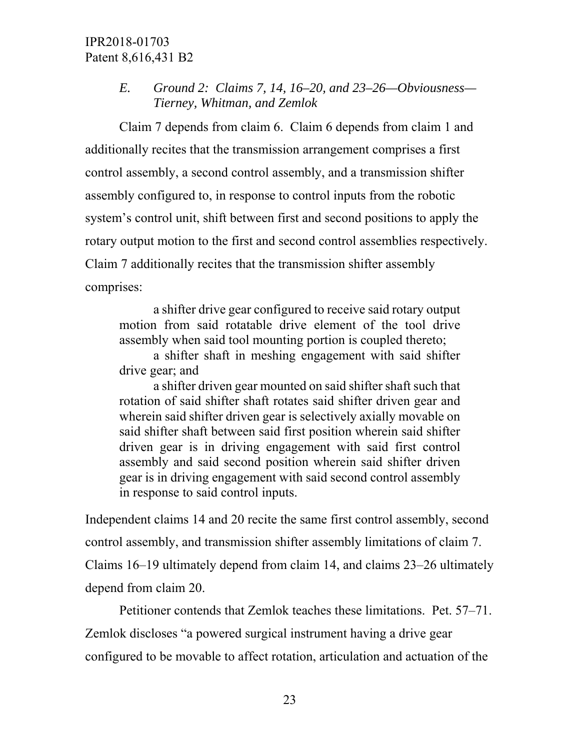*E. Ground 2: Claims 7, 14, 16–20, and 23–26—Obviousness— Tierney, Whitman, and Zemlok* 

Claim 7 depends from claim 6. Claim 6 depends from claim 1 and additionally recites that the transmission arrangement comprises a first control assembly, a second control assembly, and a transmission shifter assembly configured to, in response to control inputs from the robotic system's control unit, shift between first and second positions to apply the rotary output motion to the first and second control assemblies respectively. Claim 7 additionally recites that the transmission shifter assembly comprises:

a shifter drive gear configured to receive said rotary output motion from said rotatable drive element of the tool drive assembly when said tool mounting portion is coupled thereto;

a shifter shaft in meshing engagement with said shifter drive gear; and

a shifter driven gear mounted on said shifter shaft such that rotation of said shifter shaft rotates said shifter driven gear and wherein said shifter driven gear is selectively axially movable on said shifter shaft between said first position wherein said shifter driven gear is in driving engagement with said first control assembly and said second position wherein said shifter driven gear is in driving engagement with said second control assembly in response to said control inputs.

Independent claims 14 and 20 recite the same first control assembly, second control assembly, and transmission shifter assembly limitations of claim 7. Claims 16–19 ultimately depend from claim 14, and claims 23–26 ultimately depend from claim 20.

 Petitioner contends that Zemlok teaches these limitations. Pet. 57–71. Zemlok discloses "a powered surgical instrument having a drive gear configured to be movable to affect rotation, articulation and actuation of the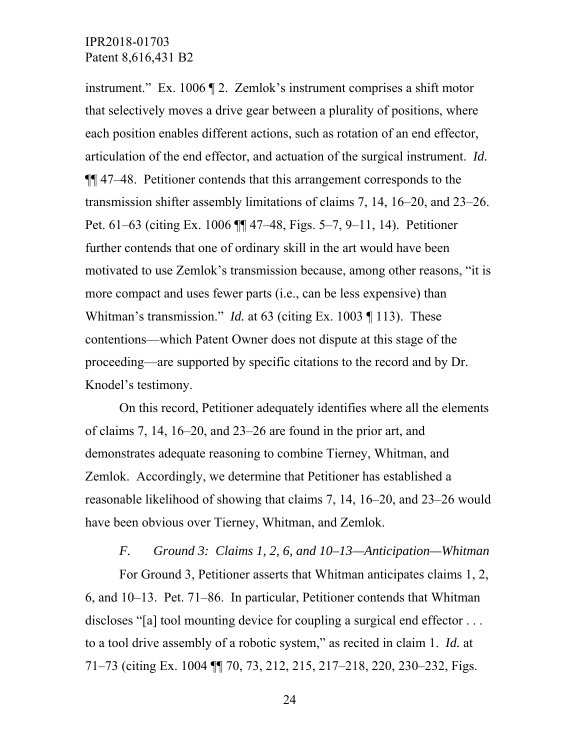instrument." Ex. 1006 ¶ 2. Zemlok's instrument comprises a shift motor that selectively moves a drive gear between a plurality of positions, where each position enables different actions, such as rotation of an end effector, articulation of the end effector, and actuation of the surgical instrument. *Id.* ¶¶ 47–48. Petitioner contends that this arrangement corresponds to the transmission shifter assembly limitations of claims 7, 14, 16–20, and 23–26. Pet. 61–63 (citing Ex. 1006 ¶¶ 47–48, Figs. 5–7, 9–11, 14). Petitioner further contends that one of ordinary skill in the art would have been motivated to use Zemlok's transmission because, among other reasons, "it is more compact and uses fewer parts (i.e., can be less expensive) than Whitman's transmission." *Id.* at 63 (citing Ex. 1003 ¶ 113). These contentions—which Patent Owner does not dispute at this stage of the proceeding—are supported by specific citations to the record and by Dr. Knodel's testimony.

On this record, Petitioner adequately identifies where all the elements of claims 7, 14, 16–20, and 23–26 are found in the prior art, and demonstrates adequate reasoning to combine Tierney, Whitman, and Zemlok. Accordingly, we determine that Petitioner has established a reasonable likelihood of showing that claims 7, 14, 16–20, and 23–26 would have been obvious over Tierney, Whitman, and Zemlok.

*F. Ground 3: Claims 1, 2, 6, and 10–13—Anticipation—Whitman*  For Ground 3, Petitioner asserts that Whitman anticipates claims 1, 2, 6, and 10–13. Pet. 71–86. In particular, Petitioner contends that Whitman discloses "[a] tool mounting device for coupling a surgical end effector ... to a tool drive assembly of a robotic system," as recited in claim 1. *Id.* at 71–73 (citing Ex. 1004 ¶¶ 70, 73, 212, 215, 217–218, 220, 230–232, Figs.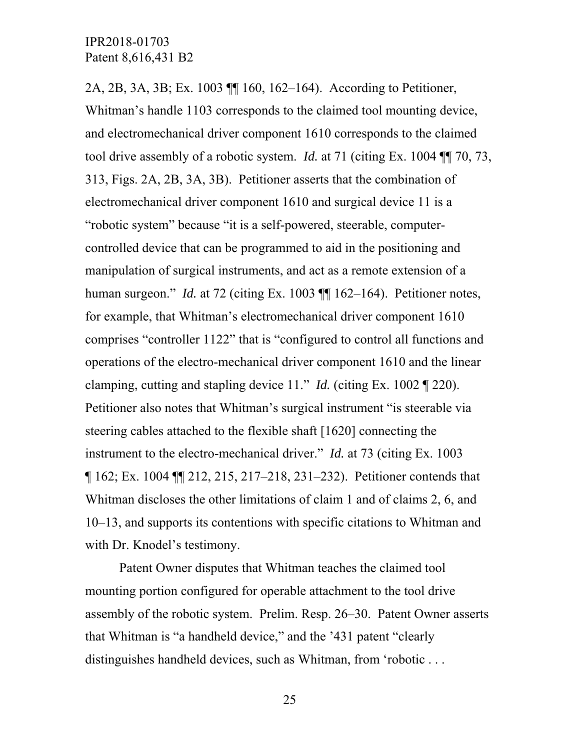2A, 2B, 3A, 3B; Ex. 1003 ¶¶ 160, 162–164). According to Petitioner, Whitman's handle 1103 corresponds to the claimed tool mounting device, and electromechanical driver component 1610 corresponds to the claimed tool drive assembly of a robotic system. *Id.* at 71 (citing Ex. 1004 ¶¶ 70, 73, 313, Figs. 2A, 2B, 3A, 3B). Petitioner asserts that the combination of electromechanical driver component 1610 and surgical device 11 is a "robotic system" because "it is a self-powered, steerable, computercontrolled device that can be programmed to aid in the positioning and manipulation of surgical instruments, and act as a remote extension of a human surgeon." *Id.* at 72 (citing Ex. 1003  $\P$  162–164). Petitioner notes, for example, that Whitman's electromechanical driver component 1610 comprises "controller 1122" that is "configured to control all functions and operations of the electro-mechanical driver component 1610 and the linear clamping, cutting and stapling device 11." *Id.* (citing Ex. 1002 ¶ 220). Petitioner also notes that Whitman's surgical instrument "is steerable via steering cables attached to the flexible shaft [1620] connecting the instrument to the electro-mechanical driver." *Id.* at 73 (citing Ex. 1003 ¶ 162; Ex. 1004 ¶¶ 212, 215, 217–218, 231–232). Petitioner contends that Whitman discloses the other limitations of claim 1 and of claims 2, 6, and 10–13, and supports its contentions with specific citations to Whitman and with Dr. Knodel's testimony.

Patent Owner disputes that Whitman teaches the claimed tool mounting portion configured for operable attachment to the tool drive assembly of the robotic system. Prelim. Resp. 26–30. Patent Owner asserts that Whitman is "a handheld device," and the '431 patent "clearly distinguishes handheld devices, such as Whitman, from 'robotic . . .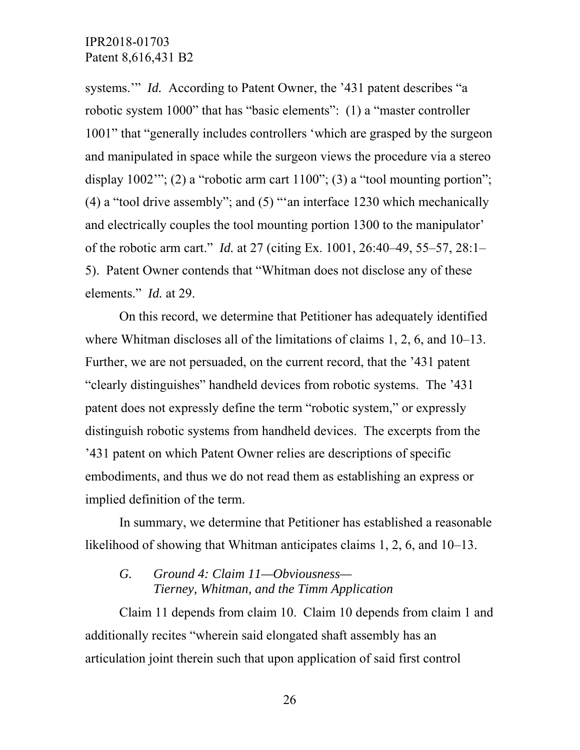systems." *Id.* According to Patent Owner, the '431 patent describes "a robotic system 1000" that has "basic elements": (1) a "master controller 1001" that "generally includes controllers 'which are grasped by the surgeon and manipulated in space while the surgeon views the procedure via a stereo display  $1002$ "; (2) a "robotic arm cart  $1100$ "; (3) a "tool mounting portion"; (4) a "tool drive assembly"; and (5) "'an interface 1230 which mechanically and electrically couples the tool mounting portion 1300 to the manipulator' of the robotic arm cart." *Id.* at 27 (citing Ex. 1001, 26:40–49, 55–57, 28:1– 5). Patent Owner contends that "Whitman does not disclose any of these elements." *Id.* at 29.

On this record, we determine that Petitioner has adequately identified where Whitman discloses all of the limitations of claims 1, 2, 6, and 10–13. Further, we are not persuaded, on the current record, that the '431 patent "clearly distinguishes" handheld devices from robotic systems. The '431 patent does not expressly define the term "robotic system," or expressly distinguish robotic systems from handheld devices. The excerpts from the '431 patent on which Patent Owner relies are descriptions of specific embodiments, and thus we do not read them as establishing an express or implied definition of the term.

In summary, we determine that Petitioner has established a reasonable likelihood of showing that Whitman anticipates claims 1, 2, 6, and 10–13.

#### *G. Ground 4: Claim 11—Obviousness— Tierney, Whitman, and the Timm Application*

Claim 11 depends from claim 10. Claim 10 depends from claim 1 and additionally recites "wherein said elongated shaft assembly has an articulation joint therein such that upon application of said first control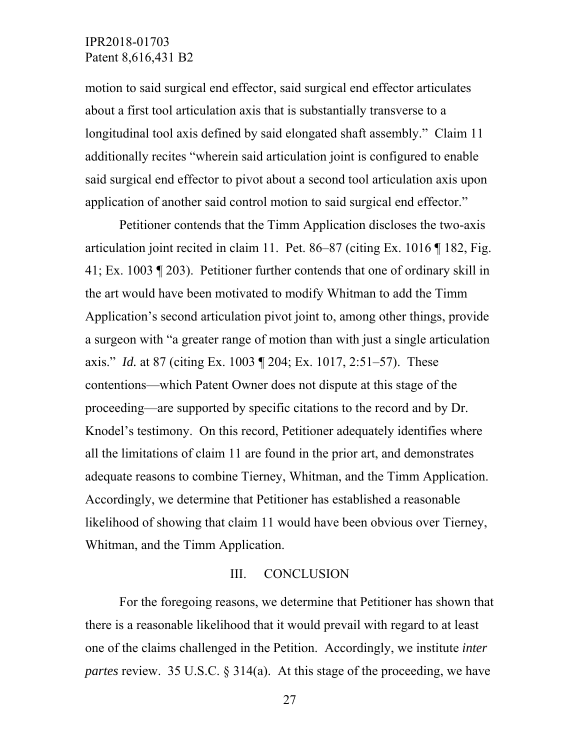motion to said surgical end effector, said surgical end effector articulates about a first tool articulation axis that is substantially transverse to a longitudinal tool axis defined by said elongated shaft assembly." Claim 11 additionally recites "wherein said articulation joint is configured to enable said surgical end effector to pivot about a second tool articulation axis upon application of another said control motion to said surgical end effector."

Petitioner contends that the Timm Application discloses the two-axis articulation joint recited in claim 11. Pet. 86–87 (citing Ex. 1016 ¶ 182, Fig. 41; Ex. 1003 ¶ 203). Petitioner further contends that one of ordinary skill in the art would have been motivated to modify Whitman to add the Timm Application's second articulation pivot joint to, among other things, provide a surgeon with "a greater range of motion than with just a single articulation axis." *Id.* at 87 (citing Ex. 1003 ¶ 204; Ex. 1017, 2:51–57). These contentions—which Patent Owner does not dispute at this stage of the proceeding—are supported by specific citations to the record and by Dr. Knodel's testimony. On this record, Petitioner adequately identifies where all the limitations of claim 11 are found in the prior art, and demonstrates adequate reasons to combine Tierney, Whitman, and the Timm Application. Accordingly, we determine that Petitioner has established a reasonable likelihood of showing that claim 11 would have been obvious over Tierney, Whitman, and the Timm Application.

#### III. CONCLUSION

For the foregoing reasons, we determine that Petitioner has shown that there is a reasonable likelihood that it would prevail with regard to at least one of the claims challenged in the Petition. Accordingly, we institute *inter partes* review. 35 U.S.C. § 314(a). At this stage of the proceeding, we have